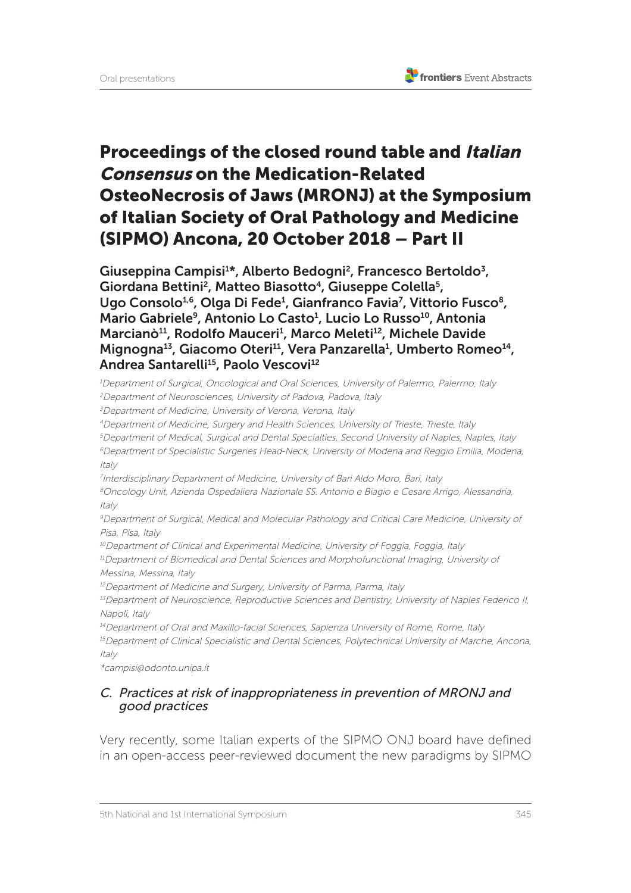# Proceedings of the closed round table and Italian Consensus on the Medication-Related OsteoNecrosis of Jaws (MRONJ) at the Symposium of Italian Society of Oral Pathology and Medicine (SIPMO) Ancona, 20 October 2018 – Part II

Giuseppina Campisi<sup>1\*</sup>, Alberto Bedogni<sup>2</sup>, Francesco Bertoldo<sup>3</sup>, Giordana Bettini<sup>2</sup>, Matteo Biasotto<sup>4</sup>, Giuseppe Colella<sup>5</sup>, Ugo Consolo<sup>1,6</sup>, Olga Di Fede<sup>1</sup>, Gianfranco Favia<sup>7</sup>, Vittorio Fusco<sup>8</sup>, Mario Gabriele<sup>9</sup>, Antonio Lo Casto<sup>1</sup>, Lucio Lo Russo<sup>10</sup>, Antonia Marcianò<sup>11</sup>, Rodolfo Mauceri<sup>1</sup>, Marco Meleti<sup>12</sup>, Michele Davide Mignogna<sup>13</sup>, Giacomo Oteri<sup>11</sup>, Vera Panzarella<sup>1</sup>, Umberto Romeo<sup>14</sup>, Andrea Santarelli<sup>15</sup>, Paolo Vescovi<sup>12</sup>

<sup>1</sup>Department of Surgical, Oncological and Oral Sciences, University of Palermo, Palermo, Italy

<sup>2</sup>Department of Neurosciences, University of Padova, Padova, Italy

<sup>3</sup>Department of Medicine, University of Verona, Verona, Italy

<sup>4</sup>Department of Medicine, Surgery and Health Sciences, University of Trieste, Trieste, Italy

<sup>5</sup>Department of Medical, Surgical and Dental Specialties, Second University of Naples, Naples, Italy

<sup>6</sup>Department of Specialistic Surgeries Head-Neck, University of Modena and Reggio Emilia, Modena, Italy

<sup>7</sup> Interdisciplinary Department of Medicine, University of Bari Aldo Moro, Bari, Italy

<sup>8</sup>Oncology Unit, Azienda Ospedaliera Nazionale SS. Antonio e Biagio e Cesare Arrigo, Alessandria, Italy

<sup>9</sup>Department of Surgical, Medical and Molecular Pathology and Critical Care Medicine, University of Pisa, Pisa, Italy

<sup>10</sup>Department of Clinical and Experimental Medicine, University of Foggia, Foggia, Italy

<sup>11</sup>Department of Biomedical and Dental Sciences and Morphofunctional Imaging, University of Messina, Messina, Italy

<sup>12</sup>Department of Medicine and Surgery, University of Parma, Parma, Italy

<sup>13</sup>Department of Neuroscience, Reproductive Sciences and Dentistry, University of Naples Federico II, Napoli, Italy

<sup>14</sup>Department of Oral and Maxillo-facial Sciences, Sapienza University of Rome, Rome, Italy <sup>15</sup>Department of Clinical Specialistic and Dental Sciences, Polytechnical University of Marche, Ancona, Italy

\*campisi@odonto.unipa.it

#### C. Practices at risk of inappropriateness in prevention of MRONJ and good practices

Very recently, some Italian experts of the SIPMO ONJ board have defined in an open-access peer-reviewed document the new paradigms by SIPMO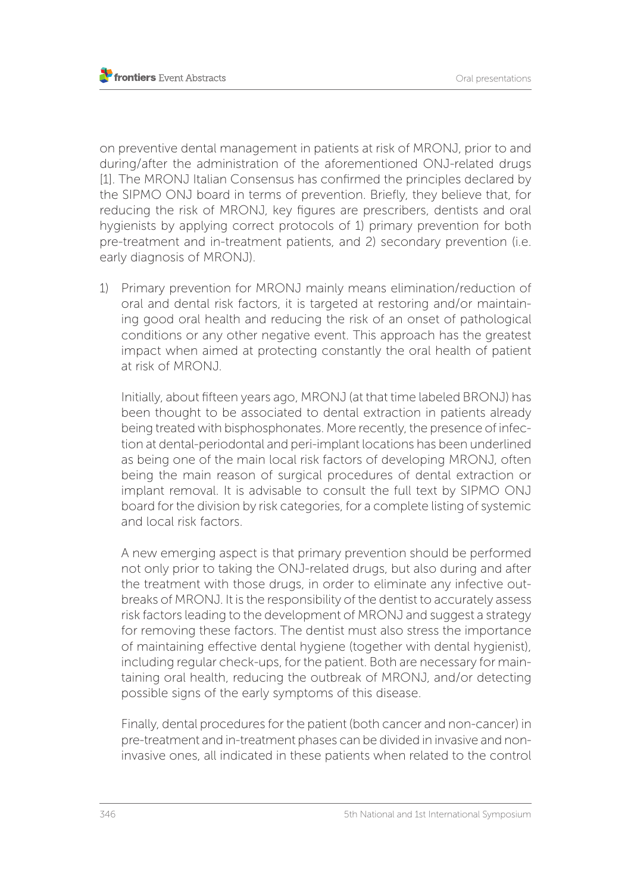on preventive dental management in patients at risk of MRONJ, prior to and during/after the administration of the aforementioned ONJ-related drugs [1]. The MRONJ Italian Consensus has confirmed the principles declared by the SIPMO ONJ board in terms of prevention. Briefly, they believe that, for reducing the risk of MRONJ, key figures are prescribers, dentists and oral hygienists by applying correct protocols of 1) primary prevention for both pre-treatment and in-treatment patients, and 2) secondary prevention (i.e. early diagnosis of MRONJ).

1) Primary prevention for MRONJ mainly means elimination/reduction of oral and dental risk factors, it is targeted at restoring and/or maintaining good oral health and reducing the risk of an onset of pathological conditions or any other negative event. This approach has the greatest impact when aimed at protecting constantly the oral health of patient at risk of MRONJ.

Initially, about fifteen years ago, MRONJ (at that time labeled BRONJ) has been thought to be associated to dental extraction in patients already being treated with bisphosphonates. More recently, the presence of infection at dental-periodontal and peri-implant locations has been underlined as being one of the main local risk factors of developing MRONJ, often being the main reason of surgical procedures of dental extraction or implant removal. It is advisable to consult the full text by SIPMO ONJ board for the division by risk categories, for a complete listing of systemic and local risk factors.

A new emerging aspect is that primary prevention should be performed not only prior to taking the ONJ-related drugs, but also during and after the treatment with those drugs, in order to eliminate any infective outbreaks of MRONJ. It is the responsibility of the dentist to accurately assess risk factors leading to the development of MRONJ and suggest a strategy for removing these factors. The dentist must also stress the importance of maintaining effective dental hygiene (together with dental hygienist), including regular check-ups, for the patient. Both are necessary for maintaining oral health, reducing the outbreak of MRONJ, and/or detecting possible signs of the early symptoms of this disease.

Finally, dental procedures for the patient (both cancer and non-cancer) in pre-treatment and in-treatment phases can be divided in invasive and noninvasive ones, all indicated in these patients when related to the control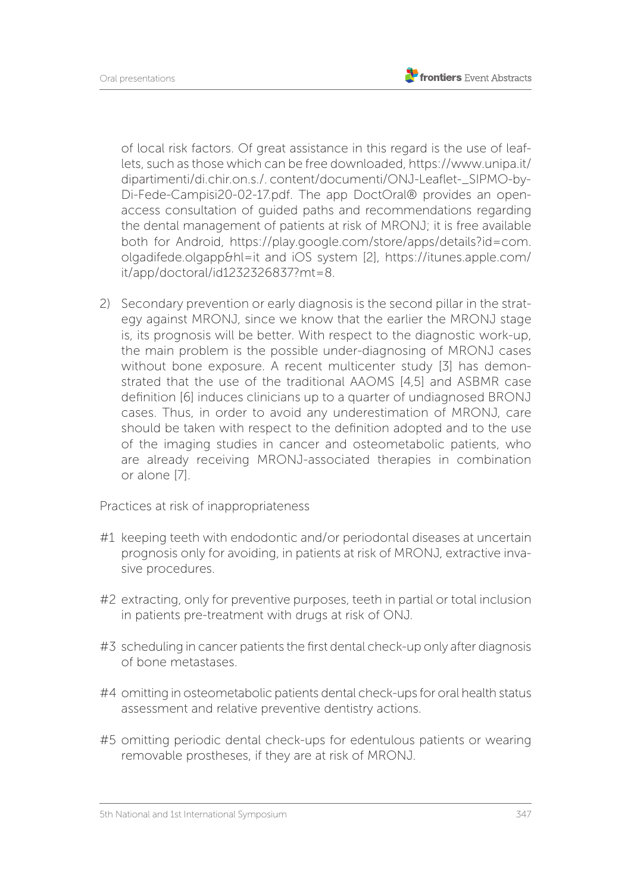of local risk factors. Of great assistance in this regard is the use of leaflets, such as those which can be free downloaded, https://www.unipa.it/ dipartimenti/di.chir.on.s./. content/documenti/ONJ-Leaflet-\_SIPMO-by-Di-Fede-Campisi20-02-17.pdf. The app DoctOral® provides an openaccess consultation of guided paths and recommendations regarding the dental management of patients at risk of MRONJ; it is free available both for Android, https://play.google.com/store/apps/details?id=com. olgadifede.olgapp&hl=it and iOS system [2], https://itunes.apple.com/ it/app/doctoral/id1232326837?mt=8.

2) Secondary prevention or early diagnosis is the second pillar in the strategy against MRONJ, since we know that the earlier the MRONJ stage is, its prognosis will be better. With respect to the diagnostic work-up, the main problem is the possible under-diagnosing of MRONJ cases without bone exposure. A recent multicenter study [3] has demonstrated that the use of the traditional AAOMS [4,5] and ASBMR case definition [6] induces clinicians up to a quarter of undiagnosed BRONJ cases. Thus, in order to avoid any underestimation of MRONJ, care should be taken with respect to the definition adopted and to the use of the imaging studies in cancer and osteometabolic patients, who are already receiving MRONJ-associated therapies in combination or alone [7].

Practices at risk of inappropriateness

- #1 keeping teeth with endodontic and/or periodontal diseases at uncertain prognosis only for avoiding, in patients at risk of MRONJ, extractive invasive procedures.
- #2 extracting, only for preventive purposes, teeth in partial or total inclusion in patients pre-treatment with drugs at risk of ONJ.
- #3 scheduling in cancer patients the first dental check-up only after diagnosis of bone metastases.
- #4 omitting in osteometabolic patients dental check-ups for oral health status assessment and relative preventive dentistry actions.
- #5 omitting periodic dental check-ups for edentulous patients or wearing removable prostheses, if they are at risk of MRONJ.

<sup>5</sup>th National and 1st International Symposium 347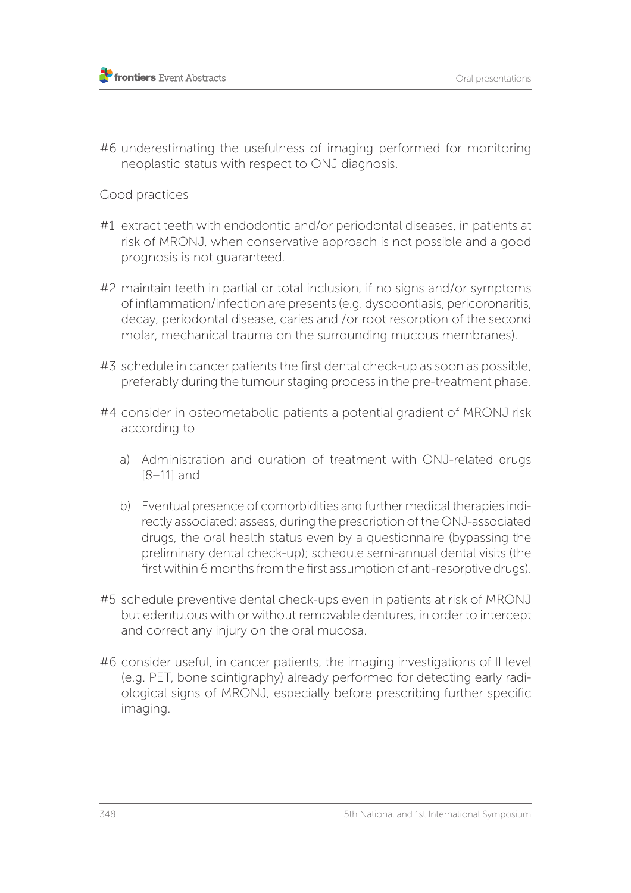#6 underestimating the usefulness of imaging performed for monitoring neoplastic status with respect to ONJ diagnosis.

## Good practices

- #1 extract teeth with endodontic and/or periodontal diseases, in patients at risk of MRONJ, when conservative approach is not possible and a good prognosis is not guaranteed.
- #2 maintain teeth in partial or total inclusion, if no signs and/or symptoms of inflammation/infection are presents (e.g. dysodontiasis, pericoronaritis, decay, periodontal disease, caries and /or root resorption of the second molar, mechanical trauma on the surrounding mucous membranes).
- #3 schedule in cancer patients the first dental check-up as soon as possible, preferably during the tumour staging process in the pre-treatment phase.
- #4 consider in osteometabolic patients a potential gradient of MRONJ risk according to
	- a) Administration and duration of treatment with ONJ-related drugs [8–11] and
	- b) Eventual presence of comorbidities and further medical therapies indirectly associated; assess, during the prescription of the ONJ-associated drugs, the oral health status even by a questionnaire (bypassing the preliminary dental check-up); schedule semi-annual dental visits (the first within 6 months from the first assumption of anti-resorptive drugs).
- #5 schedule preventive dental check-ups even in patients at risk of MRONJ but edentulous with or without removable dentures, in order to intercept and correct any injury on the oral mucosa.
- #6 consider useful, in cancer patients, the imaging investigations of II level (e.g. PET, bone scintigraphy) already performed for detecting early radiological signs of MRONJ, especially before prescribing further specific imaging.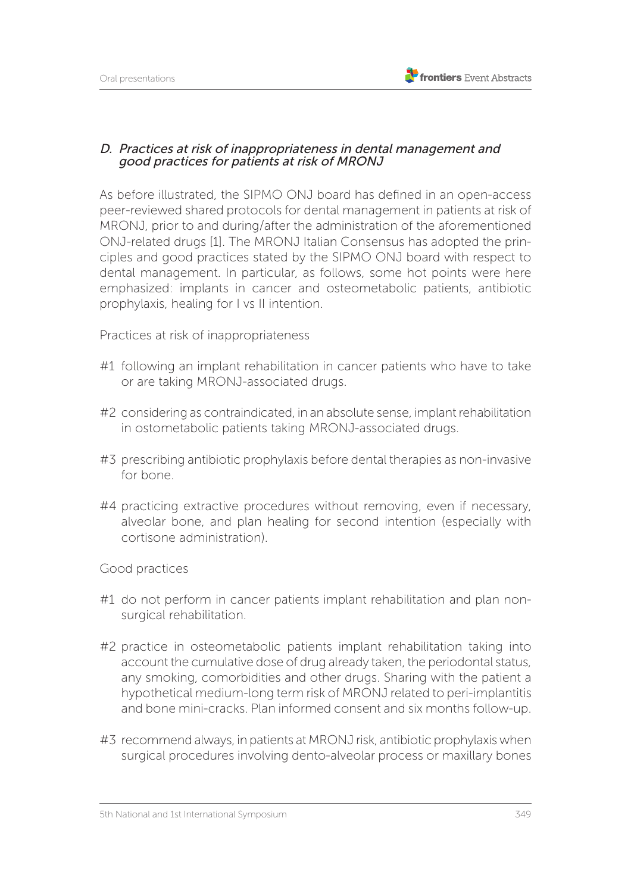## D. Practices at risk of inappropriateness in dental management and good practices for patients at risk of MRONJ

As before illustrated, the SIPMO ONJ board has defined in an open-access peer-reviewed shared protocols for dental management in patients at risk of MRONJ, prior to and during/after the administration of the aforementioned ONJ-related drugs [1]. The MRONJ Italian Consensus has adopted the principles and good practices stated by the SIPMO ONJ board with respect to dental management. In particular, as follows, some hot points were here emphasized: implants in cancer and osteometabolic patients, antibiotic prophylaxis, healing for I vs II intention.

Practices at risk of inappropriateness

- #1 following an implant rehabilitation in cancer patients who have to take or are taking MRONJ-associated drugs.
- #2 considering as contraindicated, in an absolute sense, implant rehabilitation in ostometabolic patients taking MRONJ-associated drugs.
- #3 prescribing antibiotic prophylaxis before dental therapies as non-invasive for bone.
- #4 practicing extractive procedures without removing, even if necessary, alveolar bone, and plan healing for second intention (especially with cortisone administration).

Good practices

- #1 do not perform in cancer patients implant rehabilitation and plan nonsurgical rehabilitation.
- #2 practice in osteometabolic patients implant rehabilitation taking into account the cumulative dose of drug already taken, the periodontal status, any smoking, comorbidities and other drugs. Sharing with the patient a hypothetical medium-long term risk of MRONJ related to peri-implantitis and bone mini-cracks. Plan informed consent and six months follow-up.
- #3 recommend always, in patients at MRONJ risk, antibiotic prophylaxis when surgical procedures involving dento-alveolar process or maxillary bones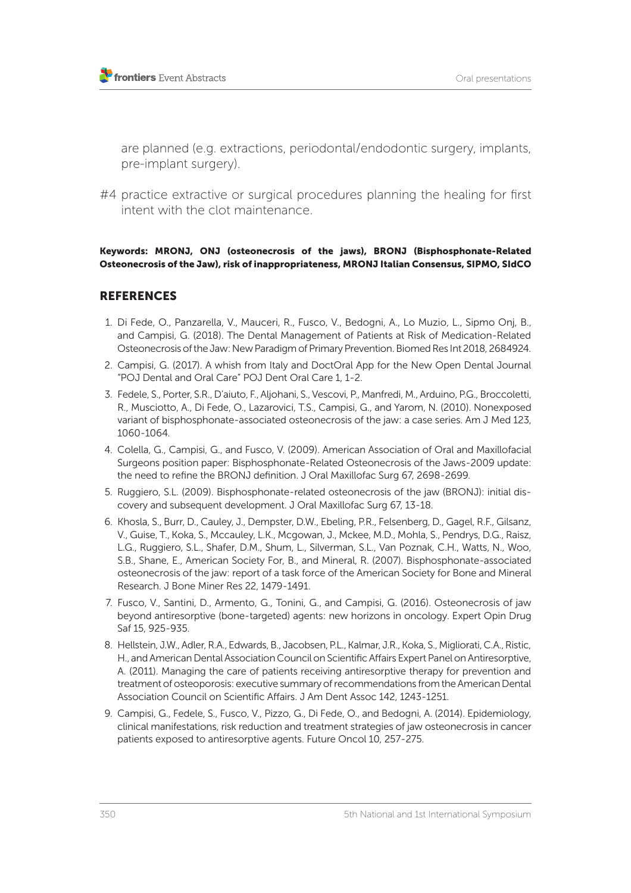are planned (e.g. extractions, periodontal/endodontic surgery, implants, pre-implant surgery).

#4 practice extractive or surgical procedures planning the healing for first intent with the clot maintenance.

Keywords: MRONJ, ONJ (osteonecrosis of the jaws), BRONJ (Bisphosphonate-Related Osteonecrosis of the Jaw), risk of inappropriateness, MRONJ Italian Consensus, SIPMO, SIdCO

## REFERENCES

- 1. Di Fede, O., Panzarella, V., Mauceri, R., Fusco, V., Bedogni, A., Lo Muzio, L., Sipmo Onj, B., and Campisi, G. (2018). The Dental Management of Patients at Risk of Medication-Related Osteonecrosis of the Jaw: New Paradigm of Primary Prevention. Biomed Res Int 2018, 2684924.
- 2. Campisi, G. (2017). A whish from Italy and DoctOral App for the New Open Dental Journal "POJ Dental and Oral Care" POJ Dent Oral Care 1, 1-2.
- 3. Fedele, S., Porter, S.R., D'aiuto, F., Aljohani, S., Vescovi, P., Manfredi, M., Arduino, P.G., Broccoletti, R., Musciotto, A., Di Fede, O., Lazarovici, T.S., Campisi, G., and Yarom, N. (2010). Nonexposed variant of bisphosphonate-associated osteonecrosis of the jaw: a case series. Am J Med 123, 1060-1064.
- 4. Colella, G., Campisi, G., and Fusco, V. (2009). American Association of Oral and Maxillofacial Surgeons position paper: Bisphosphonate-Related Osteonecrosis of the Jaws-2009 update: the need to refine the BRONJ definition. J Oral Maxillofac Surg 67, 2698-2699.
- 5. Ruggiero, S.L. (2009). Bisphosphonate-related osteonecrosis of the jaw (BRONJ): initial discovery and subsequent development. J Oral Maxillofac Surg 67, 13-18.
- 6. Khosla, S., Burr, D., Cauley, J., Dempster, D.W., Ebeling, P.R., Felsenberg, D., Gagel, R.F., Gilsanz, V., Guise, T., Koka, S., Mccauley, L.K., Mcgowan, J., Mckee, M.D., Mohla, S., Pendrys, D.G., Raisz, L.G., Ruggiero, S.L., Shafer, D.M., Shum, L., Silverman, S.L., Van Poznak, C.H., Watts, N., Woo, S.B., Shane, E., American Society For, B., and Mineral, R. (2007). Bisphosphonate-associated osteonecrosis of the jaw: report of a task force of the American Society for Bone and Mineral Research. J Bone Miner Res 22, 1479-1491.
- 7. Fusco, V., Santini, D., Armento, G., Tonini, G., and Campisi, G. (2016). Osteonecrosis of jaw beyond antiresorptive (bone-targeted) agents: new horizons in oncology. Expert Opin Drug Saf 15, 925-935.
- 8. Hellstein, J.W., Adler, R.A., Edwards, B., Jacobsen, P.L., Kalmar, J.R., Koka, S., Migliorati, C.A., Ristic, H., and American Dental Association Council on Scientific Affairs Expert Panel on Antiresorptive, A. (2011). Managing the care of patients receiving antiresorptive therapy for prevention and treatment of osteoporosis: executive summary of recommendations from the American Dental Association Council on Scientific Affairs. J Am Dent Assoc 142, 1243-1251.
- 9. Campisi, G., Fedele, S., Fusco, V., Pizzo, G., Di Fede, O., and Bedogni, A. (2014). Epidemiology, clinical manifestations, risk reduction and treatment strategies of jaw osteonecrosis in cancer patients exposed to antiresorptive agents. Future Oncol 10, 257-275.